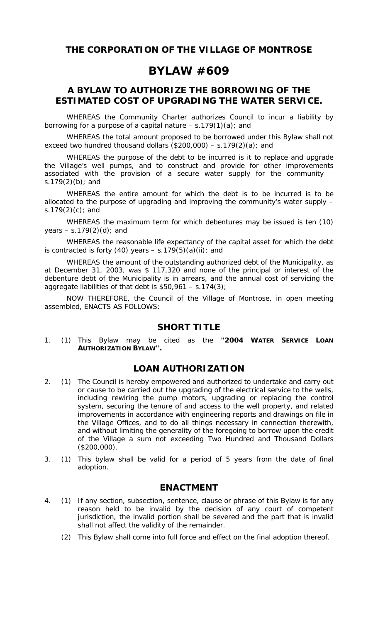**THE CORPORATION OF THE VILLAGE OF MONTROSE** 

# **BYLAW #609**

# **A BYLAW TO AUTHORIZE THE BORROWING OF THE ESTIMATED COST OF UPGRADING THE WATER SERVICE.**

WHEREAS the *Community Charter* authorizes Council to incur a liability by borrowing for a purpose of a capital nature  $-$  s.179(1)(a); and

 WHEREAS the total amount proposed to be borrowed under this Bylaw shall not exceed two hundred thousand dollars (\$200,000) – s.179(2)(a); and

 WHEREAS the purpose of the debt to be incurred is it to replace and upgrade the Village's well pumps, and to construct and provide for other improvements associated with the provision of a secure water supply for the community – s.179(2)(b); and

 WHEREAS the entire amount for which the debt is to be incurred is to be allocated to the purpose of upgrading and improving the community's water supply – s.179 $(2)(c)$ ; and

 WHEREAS the maximum term for which debentures may be issued is ten (10) years  $-$  s.179(2)(d); and

 WHEREAS the reasonable life expectancy of the capital asset for which the debt is contracted is forty (40) years  $-$  s.179(5)(a)(ii); and

 WHEREAS the amount of the outstanding authorized debt of the Municipality, as at December 31, 2003, was \$ 117,320 and none of the principal or interest of the debenture debt of the Municipality is in arrears, and the annual cost of servicing the aggregate liabilities of that debt is  $$50,961 - s.174(3);$ 

 NOW THEREFORE, the Council of the Village of Montrose, in open meeting assembled, ENACTS AS FOLLOWS:

### **SHORT TITLE**

1. (1) This Bylaw may be cited as the **"2004 WATER SERVICE LOAN AUTHORIZATION BYLAW".** 

# **LOAN AUTHORIZATION**

- 2. (1) The Council is hereby empowered and authorized to undertake and carry out or cause to be carried out the upgrading of the electrical service to the wells, including rewiring the pump motors, upgrading or replacing the control system, securing the tenure of and access to the well property, and related improvements in accordance with engineering reports and drawings on file in the Village Offices, and to do all things necessary in connection therewith, and without limiting the generality of the foregoing to borrow upon the credit of the Village a sum not exceeding Two Hundred and Thousand Dollars (\$200,000).
- 3. (1) This bylaw shall be valid for a period of 5 years from the date of final adoption.

#### **ENACTMENT**

- 4. (1) If any section, subsection, sentence, clause or phrase of this Bylaw is for any reason held to be invalid by the decision of any court of competent jurisdiction, the invalid portion shall be severed and the part that is invalid shall not affect the validity of the remainder.
	- (2) This Bylaw shall come into full force and effect on the final adoption thereof.